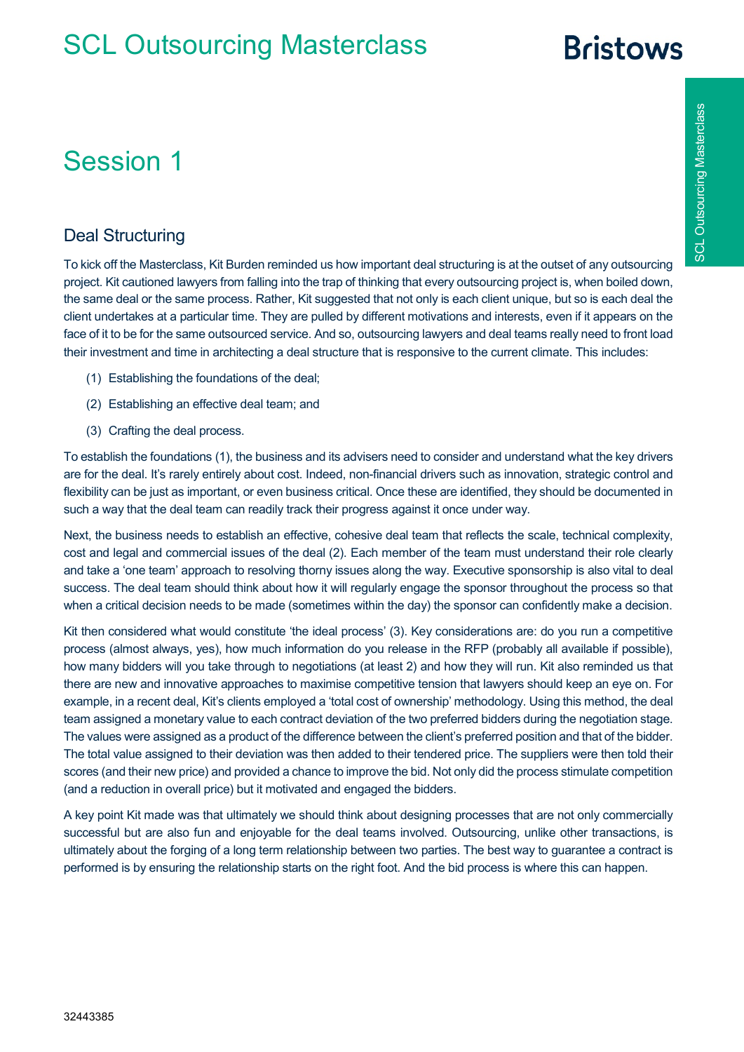# **Rristows**

#### Session 1

#### Deal Structuring

To kick off the Masterclass, Kit Burden reminded us how important deal structuring is at the outset of any outsourcing project. Kit cautioned lawyers from falling into the trap of thinking that every outsourcing project is, when boiled down, the same deal or the same process. Rather, Kit suggested that not only is each client unique, but so is each deal the client undertakes at a particular time. They are pulled by different motivations and interests, even if it appears on the face of it to be for the same outsourced service. And so, outsourcing lawyers and deal teams really need to front load their investment and time in architecting a deal structure that is responsive to the current climate. This includes:

- (1) Establishing the foundations of the deal;
- (2) Establishing an effective deal team; and
- (3) Crafting the deal process.

To establish the foundations (1), the business and its advisers need to consider and understand what the key drivers are for the deal. It's rarely entirely about cost. Indeed, non-financial drivers such as innovation, strategic control and flexibility can be just as important, or even business critical. Once these are identified, they should be documented in such a way that the deal team can readily track their progress against it once under way.

Next, the business needs to establish an effective, cohesive deal team that reflects the scale, technical complexity, cost and legal and commercial issues of the deal (2). Each member of the team must understand their role clearly and take a 'one team' approach to resolving thorny issues along the way. Executive sponsorship is also vital to deal success. The deal team should think about how it will regularly engage the sponsor throughout the process so that when a critical decision needs to be made (sometimes within the day) the sponsor can confidently make a decision.

Kit then considered what would constitute 'the ideal process' (3). Key considerations are: do you run a competitive process (almost always, yes), how much information do you release in the RFP (probably all available if possible), how many bidders will you take through to negotiations (at least 2) and how they will run. Kit also reminded us that there are new and innovative approaches to maximise competitive tension that lawyers should keep an eye on. For example, in a recent deal, Kit's clients employed a 'total cost of ownership' methodology. Using this method, the deal team assigned a monetary value to each contract deviation of the two preferred bidders during the negotiation stage. The values were assigned as a product of the difference between the client's preferred position and that of the bidder. The total value assigned to their deviation was then added to their tendered price. The suppliers were then told their scores (and their new price) and provided a chance to improve the bid. Not only did the process stimulate competition (and a reduction in overall price) but it motivated and engaged the bidders.

A key point Kit made was that ultimately we should think about designing processes that are not only commercially successful but are also fun and enjoyable for the deal teams involved. Outsourcing, unlike other transactions, is ultimately about the forging of a long term relationship between two parties. The best way to guarantee a contract is performed is by ensuring the relationship starts on the right foot. And the bid process is where this can happen.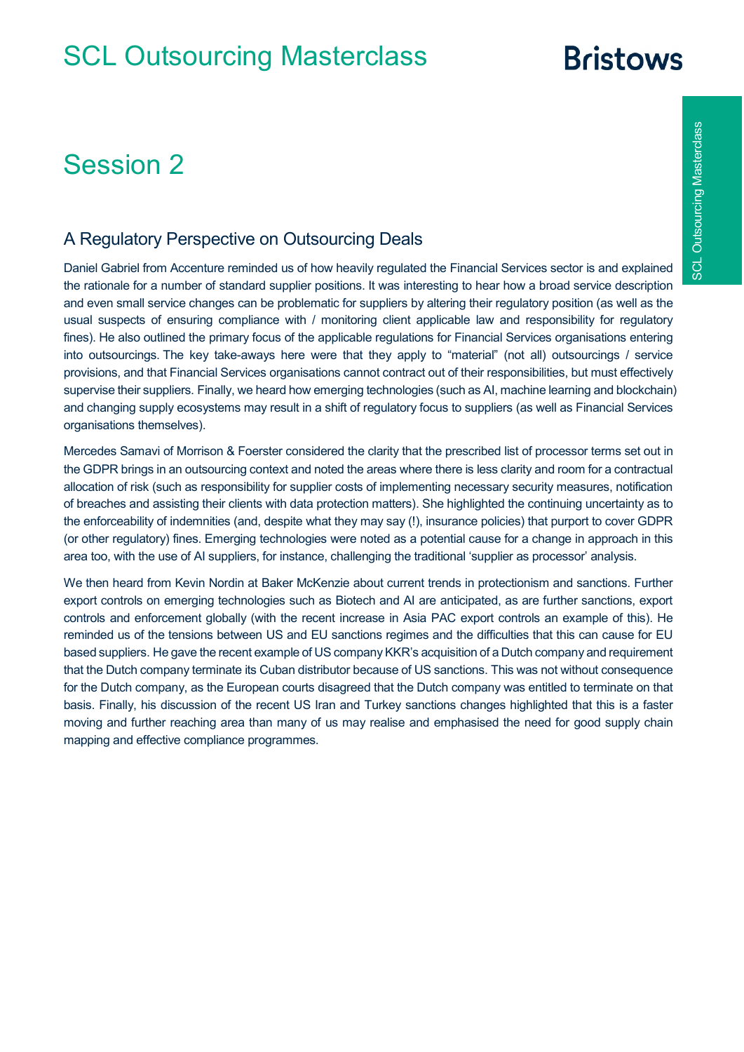## **Bristows**

#### Session 2

# **SCL Outsourcing Masterclass** SCL Outsourcing Masterclass

#### A Regulatory Perspective on Outsourcing Deals

Daniel Gabriel from Accenture reminded us of how heavily regulated the Financial Services sector is and explained the rationale for a number of standard supplier positions. It was interesting to hear how a broad service description and even small service changes can be problematic for suppliers by altering their regulatory position (as well as the usual suspects of ensuring compliance with / monitoring client applicable law and responsibility for regulatory fines). He also outlined the primary focus of the applicable regulations for Financial Services organisations entering into outsourcings. The key take-aways here were that they apply to "material" (not all) outsourcings / service provisions, and that Financial Services organisations cannot contract out of their responsibilities, but must effectively supervise their suppliers. Finally, we heard how emerging technologies (such as AI, machine learning and blockchain) and changing supply ecosystems may result in a shift of regulatory focus to suppliers (as well as Financial Services organisations themselves).

Mercedes Samavi of Morrison & Foerster considered the clarity that the prescribed list of processor terms set out in the GDPR brings in an outsourcing context and noted the areas where there is less clarity and room for a contractual allocation of risk (such as responsibility for supplier costs of implementing necessary security measures, notification of breaches and assisting their clients with data protection matters). She highlighted the continuing uncertainty as to the enforceability of indemnities (and, despite what they may say (!), insurance policies) that purport to cover GDPR (or other regulatory) fines. Emerging technologies were noted as a potential cause for a change in approach in this area too, with the use of AI suppliers, for instance, challenging the traditional 'supplier as processor' analysis.

We then heard from Kevin Nordin at Baker McKenzie about current trends in protectionism and sanctions. Further export controls on emerging technologies such as Biotech and AI are anticipated, as are further sanctions, export controls and enforcement globally (with the recent increase in Asia PAC export controls an example of this). He reminded us of the tensions between US and EU sanctions regimes and the difficulties that this can cause for EU based suppliers. He gave the recent example of US company KKR's acquisition of a Dutch company and requirement that the Dutch company terminate its Cuban distributor because of US sanctions. This was not without consequence for the Dutch company, as the European courts disagreed that the Dutch company was entitled to terminate on that basis. Finally, his discussion of the recent US Iran and Turkey sanctions changes highlighted that this is a faster moving and further reaching area than many of us may realise and emphasised the need for good supply chain mapping and effective compliance programmes.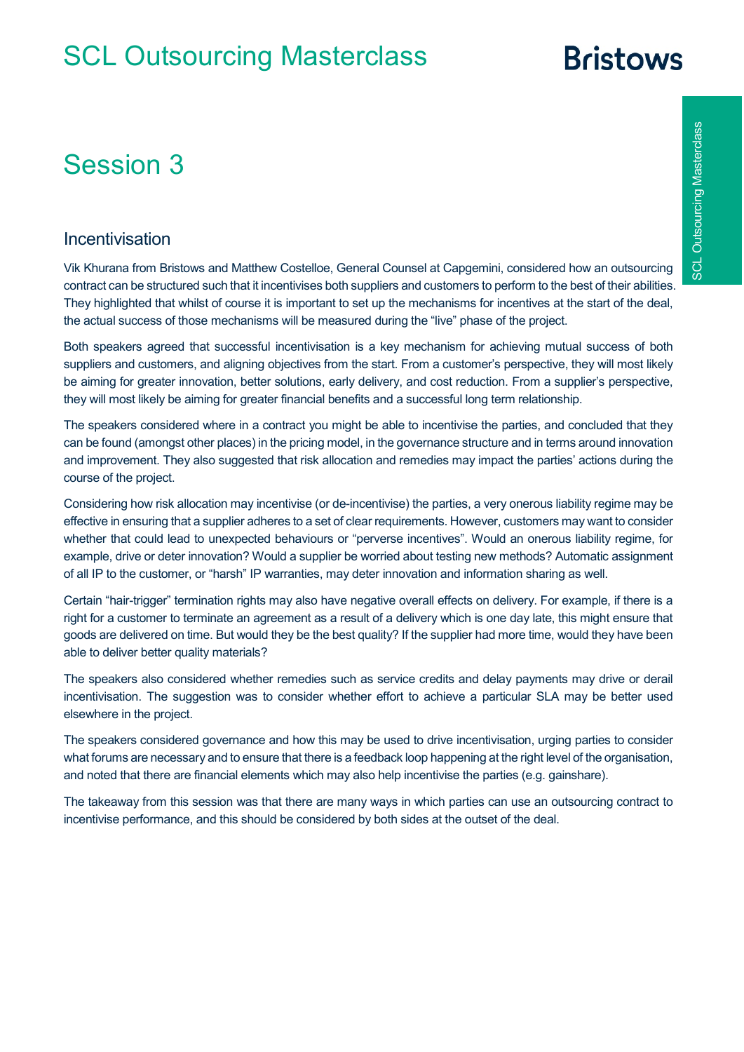# **Bristows**

## Session 3

#### Incentivisation

Vik Khurana from Bristows and Matthew Costelloe, General Counsel at Capgemini, considered how an outsourcing contract can be structured such that it incentivises both suppliers and customers to perform to the best of their abilities. They highlighted that whilst of course it is important to set up the mechanisms for incentives at the start of the deal, the actual success of those mechanisms will be measured during the "live" phase of the project.

Both speakers agreed that successful incentivisation is a key mechanism for achieving mutual success of both suppliers and customers, and aligning objectives from the start. From a customer's perspective, they will most likely be aiming for greater innovation, better solutions, early delivery, and cost reduction. From a supplier's perspective, they will most likely be aiming for greater financial benefits and a successful long term relationship.

The speakers considered where in a contract you might be able to incentivise the parties, and concluded that they can be found (amongst other places) in the pricing model, in the governance structure and in terms around innovation and improvement. They also suggested that risk allocation and remedies may impact the parties' actions during the course of the project.

Considering how risk allocation may incentivise (or de-incentivise) the parties, a very onerous liability regime may be effective in ensuring that a supplier adheres to a set of clear requirements. However, customers may want to consider whether that could lead to unexpected behaviours or "perverse incentives". Would an onerous liability regime, for example, drive or deter innovation? Would a supplier be worried about testing new methods? Automatic assignment of all IP to the customer, or "harsh" IP warranties, may deter innovation and information sharing as well.

Certain "hair-trigger" termination rights may also have negative overall effects on delivery. For example, if there is a right for a customer to terminate an agreement as a result of a delivery which is one day late, this might ensure that goods are delivered on time. But would they be the best quality? If the supplier had more time, would they have been able to deliver better quality materials?

The speakers also considered whether remedies such as service credits and delay payments may drive or derail incentivisation. The suggestion was to consider whether effort to achieve a particular SLA may be better used elsewhere in the project.

The speakers considered governance and how this may be used to drive incentivisation, urging parties to consider what forums are necessary and to ensure that there is a feedback loop happening at the right level of the organisation, and noted that there are financial elements which may also help incentivise the parties (e.g. gainshare).

The takeaway from this session was that there are many ways in which parties can use an outsourcing contract to incentivise performance, and this should be considered by both sides at the outset of the deal.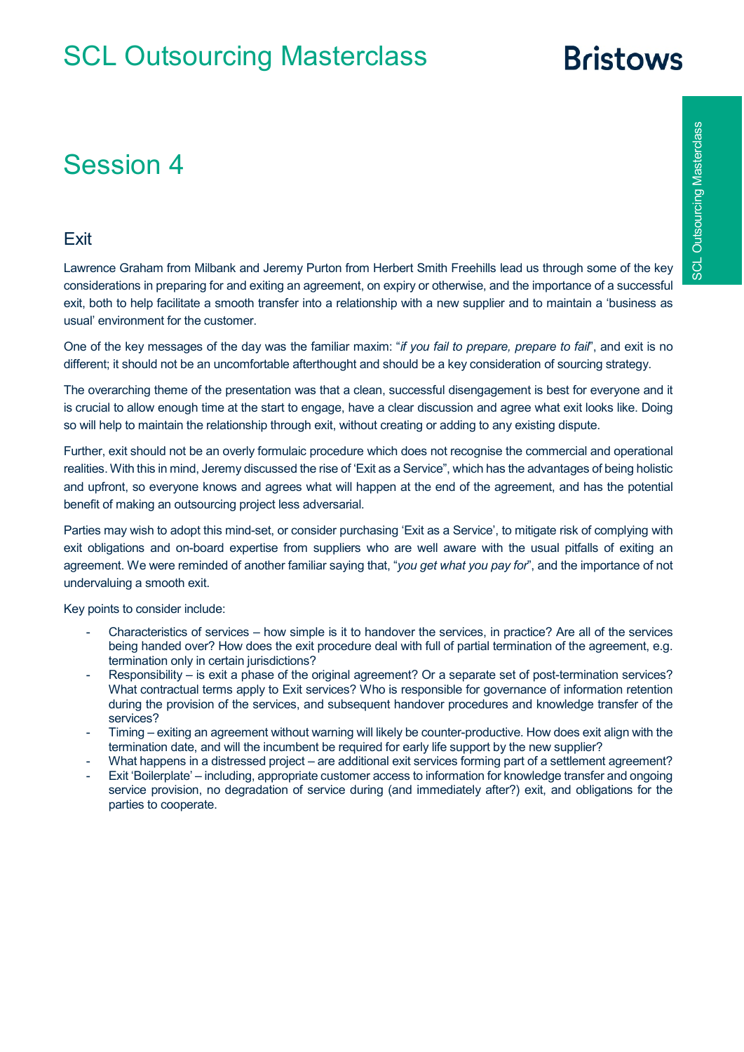# **Bristows**

## Session 4

#### **Exit**

Lawrence Graham from Milbank and Jeremy Purton from Herbert Smith Freehills lead us through some of the key considerations in preparing for and exiting an agreement, on expiry or otherwise, and the importance of a successful exit, both to help facilitate a smooth transfer into a relationship with a new supplier and to maintain a 'business as usual' environment for the customer.

One of the key messages of the day was the familiar maxim: "*if you fail to prepare, prepare to fail*", and exit is no different; it should not be an uncomfortable afterthought and should be a key consideration of sourcing strategy.

The overarching theme of the presentation was that a clean, successful disengagement is best for everyone and it is crucial to allow enough time at the start to engage, have a clear discussion and agree what exit looks like. Doing so will help to maintain the relationship through exit, without creating or adding to any existing dispute.

Further, exit should not be an overly formulaic procedure which does not recognise the commercial and operational realities. With this in mind, Jeremy discussed the rise of 'Exit as a Service", which has the advantages of being holistic and upfront, so everyone knows and agrees what will happen at the end of the agreement, and has the potential benefit of making an outsourcing project less adversarial.

Parties may wish to adopt this mind-set, or consider purchasing 'Exit as a Service', to mitigate risk of complying with exit obligations and on-board expertise from suppliers who are well aware with the usual pitfalls of exiting an agreement. We were reminded of another familiar saying that, "*you get what you pay for*", and the importance of not undervaluing a smooth exit.

Key points to consider include:

- Characteristics of services how simple is it to handover the services, in practice? Are all of the services being handed over? How does the exit procedure deal with full of partial termination of the agreement, e.g. termination only in certain jurisdictions?
- Responsibility is exit a phase of the original agreement? Or a separate set of post-termination services? What contractual terms apply to Exit services? Who is responsible for governance of information retention during the provision of the services, and subsequent handover procedures and knowledge transfer of the services?
- Timing exiting an agreement without warning will likely be counter-productive. How does exit align with the termination date, and will the incumbent be required for early life support by the new supplier?
- What happens in a distressed project are additional exit services forming part of a settlement agreement?
- Exit 'Boilerplate' including, appropriate customer access to information for knowledge transfer and ongoing service provision, no degradation of service during (and immediately after?) exit, and obligations for the parties to cooperate.